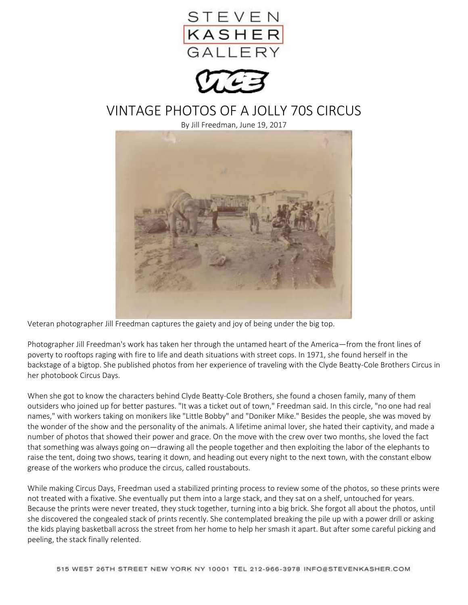



## VINTAGE PHOTOS OF A JOLLY 70S CIRCUS

By Jill Freedman, June 19, 2017



Veteran photographer Jill Freedman captures the gaiety and joy of being under the big top.

Photographer Jill Freedman's work has taken her through the untamed heart of the America—from the front lines of poverty to rooftops raging with fire to life and death situations with street cops. In 1971, she found herself in the backstage of a bigtop. She published photos from her experience of traveling with the Clyde Beatty-Cole Brothers Circus in her photobook Circus Days.

When she got to know the characters behind Clyde Beatty-Cole Brothers, she found a chosen family, many of them outsiders who joined up for better pastures. "It was a ticket out of town," Freedman said. In this circle, "no one had real names," with workers taking on monikers like "Little Bobby" and "Doniker Mike." Besides the people, she was moved by the wonder of the show and the personality of the animals. A lifetime animal lover, she hated their captivity, and made a number of photos that showed their power and grace. On the move with the crew over two months, she loved the fact that something was always going on—drawing all the people together and then exploiting the labor of the elephants to raise the tent, doing two shows, tearing it down, and heading out every night to the next town, with the constant elbow grease of the workers who produce the circus, called roustabouts.

While making Circus Days, Freedman used a stabilized printing process to review some of the photos, so these prints were not treated with a fixative. She eventually put them into a large stack, and they sat on a shelf, untouched for years. Because the prints were never treated, they stuck together, turning into a big brick. She forgot all about the photos, until she discovered the congealed stack of prints recently. She contemplated breaking the pile up with a power drill or asking the kids playing basketball across the street from her home to help her smash it apart. But after some careful picking and peeling, the stack finally relented.